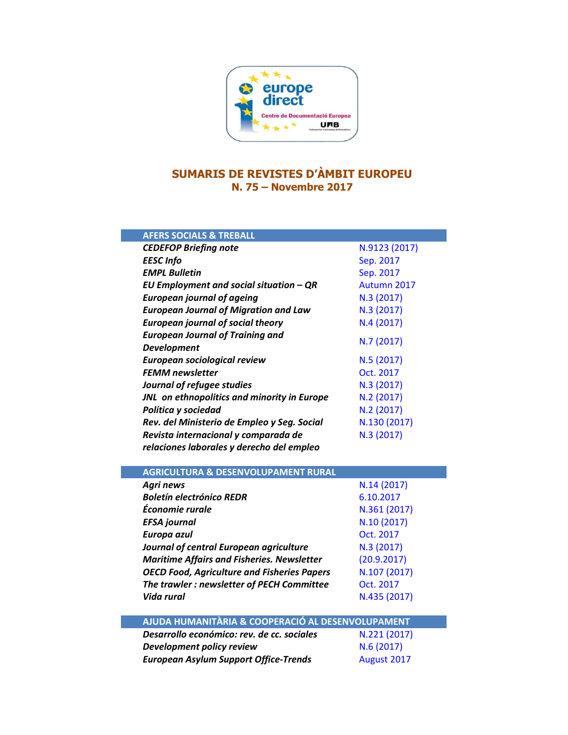

## **SUMARIS DE REVISTES D'ÀMBIT EUROPEU N. 75 – Novembre 2017**

| <b>AFERS SOCIALS &amp; TREBALL</b>           |               |
|----------------------------------------------|---------------|
| <b>CEDEFOP Briefing note</b>                 | N.9123 (2017) |
| <b>EESC</b> Info                             | Sep. 2017     |
| <b>EMPL Bulletin</b>                         | Sep. 2017     |
| EU Employment and social situation $-QR$     | Autumn 2017   |
| <b>European journal of ageing</b>            | N.3 (2017)    |
| <b>European Journal of Migration and Law</b> | N.3 (2017)    |
| <b>European journal of social theory</b>     | N.4(2017)     |
| <b>European Journal of Training and</b>      | N.7(2017)     |
| <b>Development</b>                           |               |
| European sociological review                 | N.5(2017)     |
| <b>FEMM</b> newsletter                       | Oct. 2017     |
| Journal of refugee studies                   | N.3 (2017)    |
| JNL on ethnopolitics and minority in Europe  | N.2(2017)     |
| Política y sociedad                          | N.2 (2017)    |
| Rev. del Ministerio de Empleo y Seg. Social  | N.130 (2017)  |
| Revista internacional y comparada de         | N.3 (2017)    |
| relaciones laborales y derecho del empleo    |               |

| <b>AGRICULTURA &amp; DESENVOLUPAMENT RURAL</b>     |              |
|----------------------------------------------------|--------------|
| Agri news                                          | N.14(2017)   |
| <b>Boletín electrónico REDR</b>                    | 6.10.2017    |
| Économie rurale                                    | N.361 (2017) |
| <b>EFSA</b> journal                                | N.10 (2017)  |
| Europa azul                                        | Oct. 2017    |
| Journal of central European agriculture            | N.3 (2017)   |
| <b>Maritime Affairs and Fisheries. Newsletter</b>  | (20.9.2017)  |
| <b>OECD Food, Agriculture and Fisheries Papers</b> | N.107 (2017) |
| The trawler: newsletter of PECH Committee          | Oct. 2017    |
| Vida rural                                         | N.435 (2017) |
|                                                    |              |
| AJUDA HUMANITÀRIA & COOPERACIÓ AL DESENVOLUPAMENT  |              |
| Desarrollo económico: rev. de cc. sociales         | N.221 (2017) |
| Development policy review                          | N.6(2017)    |

*European Asylum Support Office-Trends* [August](https://www.easo.europa.eu/sites/default/files/Latest-Asylum-Trends%20August-2017.pdf) 2017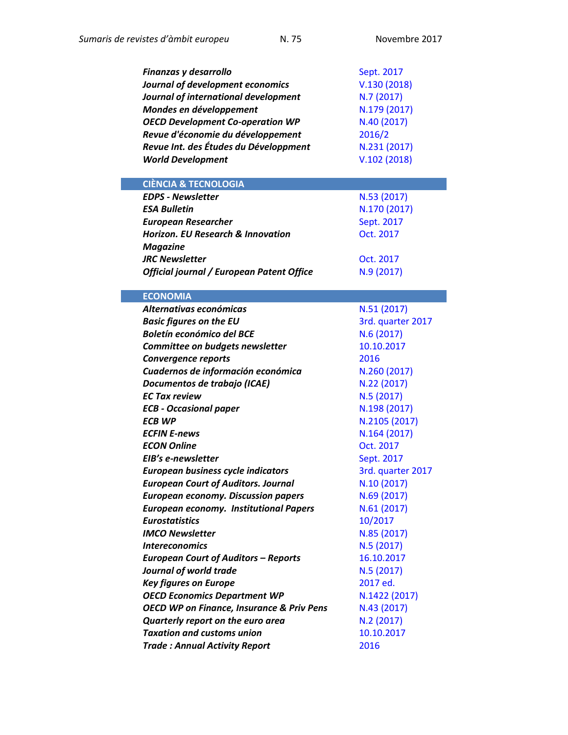| Finanzas y desarrollo                                | Sept. 2017        |
|------------------------------------------------------|-------------------|
| Journal of development economics                     | V.130(2018)       |
| Journal of international development                 | N.7 (2017)        |
| Mondes en développement                              | N.179 (2017)      |
| <b>OECD Development Co-operation WP</b>              | N.40 (2017)       |
| Revue d'économie du développement                    | 2016/2            |
| Revue Int. des Études du Développment                | N.231 (2017)      |
| <b>World Development</b>                             | V.102(2018)       |
|                                                      |                   |
| <b>CIÈNCIA &amp; TECNOLOGIA</b>                      |                   |
| <b>EDPS - Newsletter</b>                             | N.53 (2017)       |
| <b>ESA Bulletin</b>                                  | N.170 (2017)      |
| <b>European Researcher</b>                           | Sept. 2017        |
| <b>Horizon. EU Research &amp; Innovation</b>         | Oct. 2017         |
| <b>Magazine</b>                                      |                   |
| <b>JRC Newsletter</b>                                | Oct. 2017         |
| Official journal / European Patent Office            | N.9(2017)         |
|                                                      |                   |
| <b>ECONOMIA</b>                                      |                   |
| Alternativas económicas                              | N.51(2017)        |
| <b>Basic figures on the EU</b>                       | 3rd. quarter 2017 |
| <b>Boletín económico del BCE</b>                     | N.6(2017)         |
| Committee on budgets newsletter                      | 10.10.2017        |
| <b>Convergence reports</b>                           | 2016              |
| Cuadernos de información económica                   | N.260 (2017)      |
| Documentos de trabajo (ICAE)                         | N.22 (2017)       |
| <b>EC Tax review</b>                                 | N.5 (2017)        |
| <b>ECB - Occasional paper</b>                        | N.198 (2017)      |
| <b>ECB WP</b>                                        | N.2105 (2017)     |
| <b>ECFIN E-news</b>                                  | N.164 (2017)      |
| <b>ECON Online</b>                                   | Oct. 2017         |
| EIB's e-newsletter                                   | Sept. 2017        |
| <b>European business cycle indicators</b>            | 3rd. quarter 2017 |
| <b>European Court of Auditors. Journal</b>           | N.10 (2017)       |
| <b>European economy. Discussion papers</b>           | N.69 (2017)       |
| <b>European economy. Institutional Papers</b>        | N.61 (2017)       |
| <b>Eurostatistics</b>                                | 10/2017           |
| <b>IMCO Newsletter</b>                               | N.85 (2017)       |
| <i><b>Intereconomics</b></i>                         | N.5(2017)         |
| <b>European Court of Auditors - Reports</b>          | 16.10.2017        |
| Journal of world trade                               | N.5(2017)         |
| <b>Key figures on Europe</b>                         | 2017 ed.          |
| <b>OECD Economics Department WP</b>                  | N.1422 (2017)     |
| <b>OECD WP on Finance, Insurance &amp; Priv Pens</b> | N.43 (2017)       |
| Quarterly report on the euro area                    | N.2(2017)         |
| <b>Taxation and customs union</b>                    | 10.10.2017        |
| <b>Trade: Annual Activity Report</b>                 | 2016              |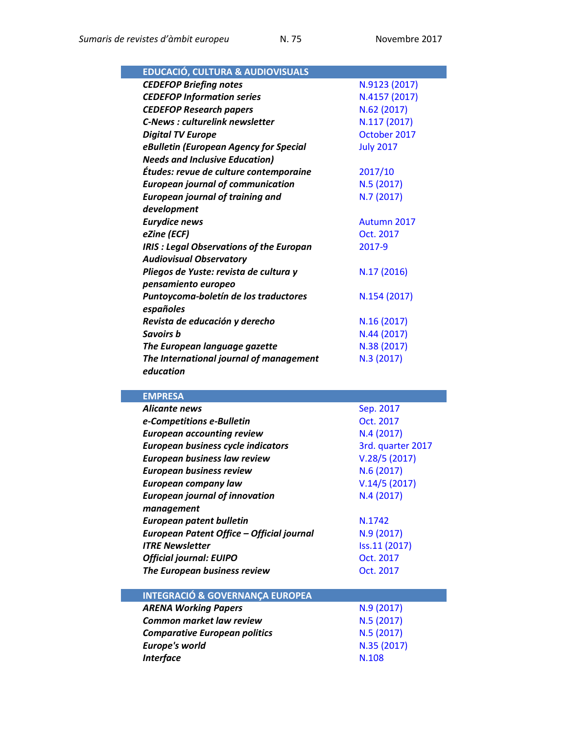| <b>EDUCACIÓ, CULTURA &amp; AUDIOVISUALS</b>        |                  |
|----------------------------------------------------|------------------|
| <b>CEDEFOP Briefing notes</b>                      | N.9123 (2017)    |
| <b>CEDEFOP Information series</b>                  | N.4157 (2017)    |
| <b>CEDEFOP Research papers</b>                     | N.62 (2017)      |
| <b>C-News: culturelink newsletter</b>              | N.117 (2017)     |
| <b>Digital TV Europe</b>                           | October 2017     |
| eBulletin (European Agency for Special             | <b>July 2017</b> |
| <b>Needs and Inclusive Education)</b>              |                  |
| Études: revue de culture contemporaine             | 2017/10          |
| <b>European journal of communication</b>           | N.5(2017)        |
| <b>European journal of training and</b>            | N.7 (2017)       |
| development                                        |                  |
| <b>Eurydice news</b>                               | Autumn 2017      |
| eZine (ECF)                                        | Oct. 2017        |
| <b>IRIS : Legal Observations of the Europan</b>    | 2017-9           |
| <b>Audiovisual Observatory</b>                     |                  |
| Pliegos de Yuste: revista de cultura y             | N.17 (2016)      |
| pensamiento europeo                                |                  |
| Puntoycoma-boletín de los traductores<br>españoles | N.154 (2017)     |
| Revista de educación y derecho                     | N.16(2017)       |
| Savoirs b                                          | N.44 (2017)      |
| The European language gazette                      | N.38 (2017)      |
| The International journal of management            | N.3 (2017)       |
| education                                          |                  |

| <b>EMPRESA</b>                             |                   |
|--------------------------------------------|-------------------|
| <b>Alicante news</b>                       | Sep. 2017         |
| e-Competitions e-Bulletin                  | Oct. 2017         |
| <b>European accounting review</b>          | N.4(2017)         |
| European business cycle indicators         | 3rd. quarter 2017 |
| <b>European business law review</b>        | V.28/5(2017)      |
| <b>European business review</b>            | N.6(2017)         |
| European company law                       | V.14/5(2017)      |
| <b>European journal of innovation</b>      | N.4(2017)         |
| management                                 |                   |
| European patent bulletin                   | N.1742            |
| European Patent Office - Official journal  | N.9(2017)         |
| <b>ITRF Newsletter</b>                     | Iss.11 (2017)     |
| <b>Official journal: EUIPO</b>             | Oct. 2017         |
| The European business review               | Oct. 2017         |
|                                            |                   |
| <b>INTEGRACIÓ &amp; GOVERNANÇA EUROPEA</b> |                   |
| <b>ARENA Working Papers</b>                | N.9 (2017)        |
| <b>Common market law review</b>            | N.5 (2017)        |
| <b>Comparative European politics</b>       | N.5(2017)         |
| <b>Europe's world</b>                      | N.35 (2017)       |
| <b>Interface</b>                           | N.108             |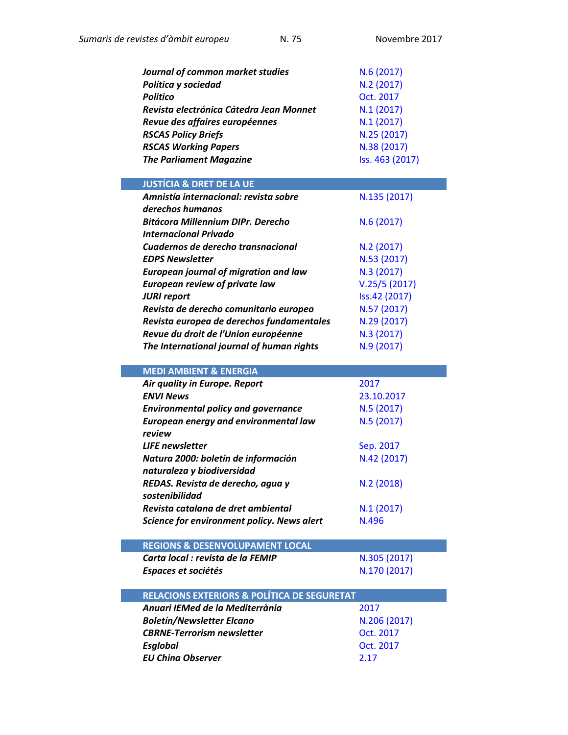| Journal of common market studies<br>Política y sociedad<br><b>Politico</b><br>Revista electrónica Cátedra Jean Monnet<br>Revue des affaires européennes<br><b>RSCAS Policy Briefs</b><br><b>RSCAS Working Papers</b> | N.6 (2017)<br>N.2 (2017)<br>Oct. 2017<br>N.1(2017)<br>N.1(2017)<br>N.25 (2017)<br>N.38 (2017) |
|----------------------------------------------------------------------------------------------------------------------------------------------------------------------------------------------------------------------|-----------------------------------------------------------------------------------------------|
| <b>The Parliament Magazine</b>                                                                                                                                                                                       | Iss. 463 (2017)                                                                               |
| <b>JUSTÍCIA &amp; DRET DE LA UE</b>                                                                                                                                                                                  |                                                                                               |
| Amnistía internacional: revista sobre                                                                                                                                                                                | N.135 (2017)                                                                                  |
| derechos humanos                                                                                                                                                                                                     |                                                                                               |
| <b>Bitácora Millennium DIPr. Derecho</b>                                                                                                                                                                             | N.6(2017)                                                                                     |
| <b>Internacional Privado</b><br>Cuadernos de derecho transnacional                                                                                                                                                   |                                                                                               |
| <b>EDPS Newsletter</b>                                                                                                                                                                                               | N.2(2017)<br>N.53 (2017)                                                                      |
| <b>European journal of migration and law</b>                                                                                                                                                                         | N.3 (2017)                                                                                    |
| <b>European review of private law</b>                                                                                                                                                                                | V.25/5(2017)                                                                                  |
| <b>JURI report</b>                                                                                                                                                                                                   | Iss.42 (2017)                                                                                 |
| Revista de derecho comunitario europeo                                                                                                                                                                               | N.57 (2017)                                                                                   |
| Revista europea de derechos fundamentales                                                                                                                                                                            | N.29 (2017)                                                                                   |
| Revue du droit de l'Union européenne                                                                                                                                                                                 | N.3 (2017)                                                                                    |
| The International journal of human rights                                                                                                                                                                            | N.9 (2017)                                                                                    |
| <b>MEDI AMBIENT &amp; ENERGIA</b>                                                                                                                                                                                    |                                                                                               |
| Air quality in Europe. Report                                                                                                                                                                                        | 2017                                                                                          |
| <b>ENVI News</b>                                                                                                                                                                                                     | 23.10.2017                                                                                    |
| <b>Environmental policy and governance</b>                                                                                                                                                                           | N.5(2017)                                                                                     |
| European energy and environmental law<br>review                                                                                                                                                                      | N.5(2017)                                                                                     |
| <b>LIFE</b> newsletter                                                                                                                                                                                               | Sep. 2017                                                                                     |
| Natura 2000: boletín de información                                                                                                                                                                                  | N.42 (2017)                                                                                   |
| naturaleza y biodiversidad                                                                                                                                                                                           |                                                                                               |
| REDAS. Revista de derecho, agua y<br>sostenibilidad                                                                                                                                                                  | N.2 (2018)                                                                                    |
| Revista catalana de dret ambiental                                                                                                                                                                                   | N.1(2017)                                                                                     |
| Science for environment policy. News alert                                                                                                                                                                           | N.496                                                                                         |
| <b>REGIONS &amp; DESENVOLUPAMENT LOCAL</b>                                                                                                                                                                           |                                                                                               |
| Carta local : revista de la FEMIP                                                                                                                                                                                    |                                                                                               |
|                                                                                                                                                                                                                      | N.305 (2017)                                                                                  |

| <b>RELACIONS EXTERIORS &amp; POLÍTICA DE SEGURETAT</b> |              |
|--------------------------------------------------------|--------------|
| Anuari IEMed de la Mediterrània                        | 2017         |
| <b>Boletín/Newsletter Elcano</b>                       | N.206 (2017) |
| <b>CBRNE-Terrorism newsletter</b>                      | Oct. 2017    |
| <b>Esglobal</b>                                        | Oct. 2017    |
| <b>EU China Observer</b>                               | 2.17         |